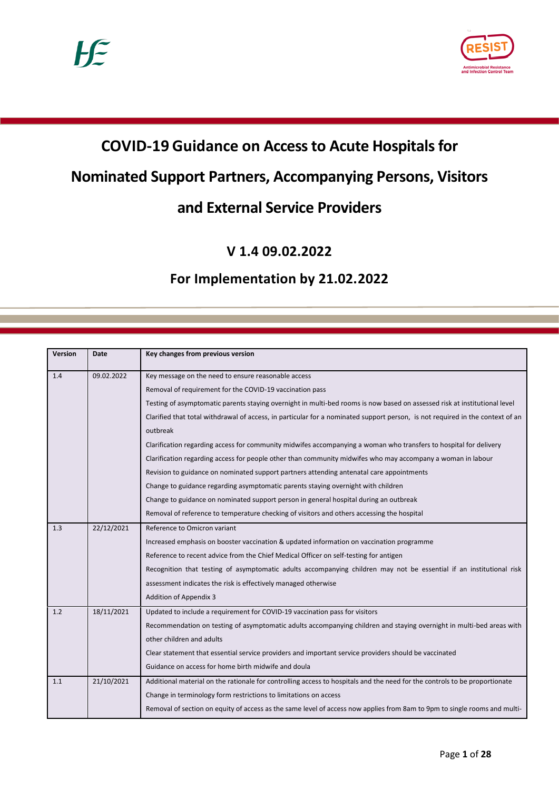

# **COVID-19 Guidance on Access to Acute Hospitals for**

# **Nominated Support Partners, Accompanying Persons, Visitors**

# **and External Service Providers**

**V 1.4 09.02.2022**

# **For Implementation by 21.02.2022**

| Version | <b>Date</b> | Key changes from previous version                                                                                             |
|---------|-------------|-------------------------------------------------------------------------------------------------------------------------------|
| 1.4     | 09.02.2022  | Key message on the need to ensure reasonable access                                                                           |
|         |             | Removal of requirement for the COVID-19 vaccination pass                                                                      |
|         |             | Testing of asymptomatic parents staying overnight in multi-bed rooms is now based on assessed risk at institutional level     |
|         |             | Clarified that total withdrawal of access, in particular for a nominated support person, is not required in the context of an |
|         |             | outbreak                                                                                                                      |
|         |             | Clarification regarding access for community midwifes accompanying a woman who transfers to hospital for delivery             |
|         |             | Clarification regarding access for people other than community midwifes who may accompany a woman in labour                   |
|         |             | Revision to guidance on nominated support partners attending antenatal care appointments                                      |
|         |             | Change to guidance regarding asymptomatic parents staying overnight with children                                             |
|         |             | Change to guidance on nominated support person in general hospital during an outbreak                                         |
|         |             | Removal of reference to temperature checking of visitors and others accessing the hospital                                    |
| 1.3     | 22/12/2021  | Reference to Omicron variant                                                                                                  |
|         |             | Increased emphasis on booster vaccination & updated information on vaccination programme                                      |
|         |             | Reference to recent advice from the Chief Medical Officer on self-testing for antigen                                         |
|         |             | Recognition that testing of asymptomatic adults accompanying children may not be essential if an institutional risk           |
|         |             | assessment indicates the risk is effectively managed otherwise                                                                |
|         |             | <b>Addition of Appendix 3</b>                                                                                                 |
| 1.2     | 18/11/2021  | Updated to include a requirement for COVID-19 vaccination pass for visitors                                                   |
|         |             | Recommendation on testing of asymptomatic adults accompanying children and staying overnight in multi-bed areas with          |
|         |             | other children and adults                                                                                                     |
|         |             | Clear statement that essential service providers and important service providers should be vaccinated                         |
|         |             | Guidance on access for home birth midwife and doula                                                                           |
| 1.1     | 21/10/2021  | Additional material on the rationale for controlling access to hospitals and the need for the controls to be proportionate    |
|         |             | Change in terminology form restrictions to limitations on access                                                              |
|         |             | Removal of section on equity of access as the same level of access now applies from 8am to 9pm to single rooms and multi-     |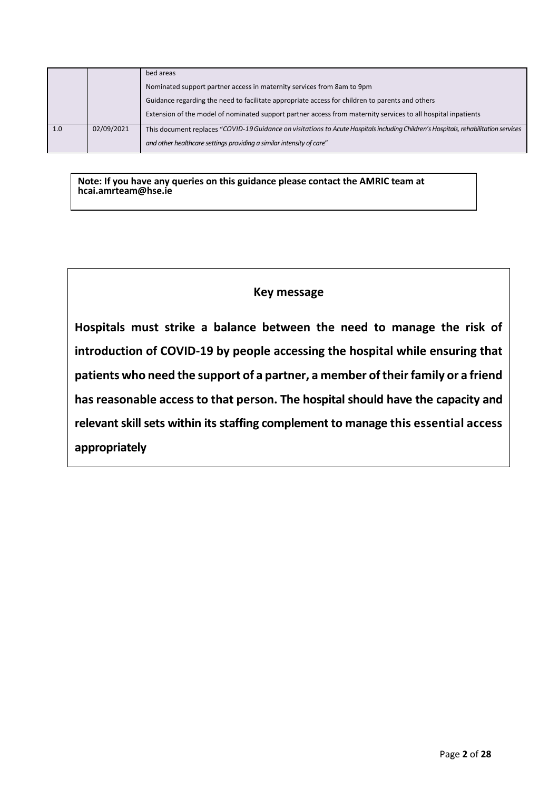|     |            | bed areas                                                                                                                           |  |
|-----|------------|-------------------------------------------------------------------------------------------------------------------------------------|--|
|     |            | Nominated support partner access in maternity services from 8am to 9pm                                                              |  |
|     |            | Guidance regarding the need to facilitate appropriate access for children to parents and others                                     |  |
|     |            | Extension of the model of nominated support partner access from maternity services to all hospital inpatients                       |  |
| 1.0 | 02/09/2021 | This document replaces "COVID-19 Guidance on visitations to Acute Hospitals including Children's Hospitals, rehabilitation services |  |
|     |            | and other healthcare settings providing a similar intensity of care"                                                                |  |

**Note: If you have any queries on this guidance please contact the AMRIC team at hcai.amrteam@hse.ie**

### **Key message**

**Hospitals must strike a balance between the need to manage the risk of introduction of COVID-19 by people accessing the hospital while ensuring that patients who need the support of a partner, a member of their family or a friend has reasonable access to that person. The hospital should have the capacity and relevantskillsets within its staffing complement to manage this essential access appropriately**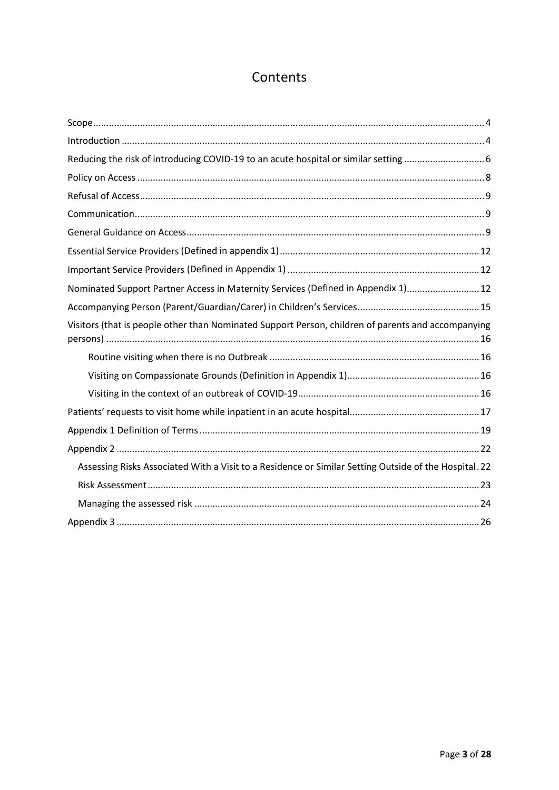# Contents

<span id="page-2-0"></span>

| Nominated Support Partner Access in Maternity Services (Defined in Appendix 1) 12                     |  |  |  |  |
|-------------------------------------------------------------------------------------------------------|--|--|--|--|
|                                                                                                       |  |  |  |  |
| Visitors (that is people other than Nominated Support Person, children of parents and accompanying    |  |  |  |  |
|                                                                                                       |  |  |  |  |
|                                                                                                       |  |  |  |  |
|                                                                                                       |  |  |  |  |
|                                                                                                       |  |  |  |  |
|                                                                                                       |  |  |  |  |
|                                                                                                       |  |  |  |  |
| Assessing Risks Associated With a Visit to a Residence or Similar Setting Outside of the Hospital. 22 |  |  |  |  |
|                                                                                                       |  |  |  |  |
|                                                                                                       |  |  |  |  |
|                                                                                                       |  |  |  |  |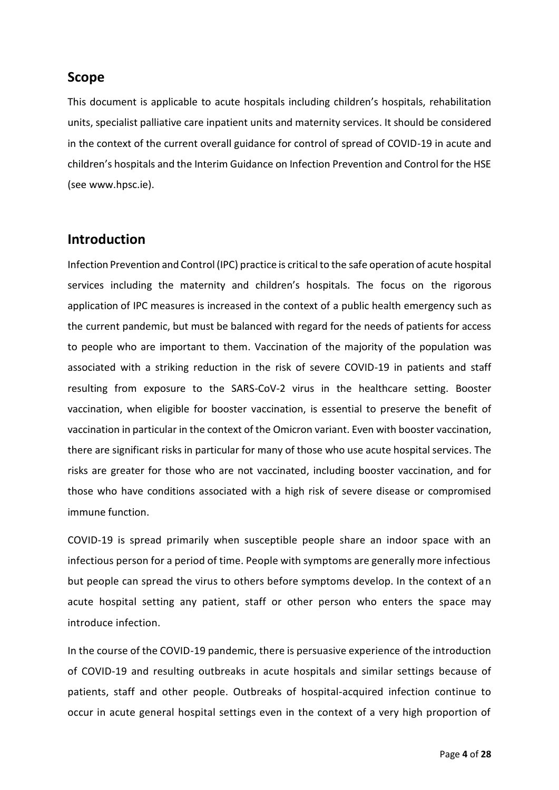### **Scope**

This document is applicable to acute hospitals including children's hospitals, rehabilitation units, specialist palliative care inpatient units and maternity services. It should be considered in the context of the current overall guidance for control of spread of COVID-19 in acute and children's hospitals and the Interim Guidance on Infection Prevention and Control for the HSE (see www.hpsc.ie).

### <span id="page-3-0"></span>**Introduction**

Infection Prevention and Control (IPC) practice is critical to the safe operation of acute hospital services including the maternity and children's hospitals. The focus on the rigorous application of IPC measures is increased in the context of a public health emergency such as the current pandemic, but must be balanced with regard for the needs of patients for access to people who are important to them. Vaccination of the majority of the population was associated with a striking reduction in the risk of severe COVID-19 in patients and staff resulting from exposure to the SARS-CoV-2 virus in the healthcare setting. Booster vaccination, when eligible for booster vaccination, is essential to preserve the benefit of vaccination in particular in the context of the Omicron variant. Even with booster vaccination, there are significant risks in particular for many of those who use acute hospital services. The risks are greater for those who are not vaccinated, including booster vaccination, and for those who have conditions associated with a high risk of severe disease or compromised immune function.

COVID-19 is spread primarily when susceptible people share an indoor space with an infectious person for a period of time. People with symptoms are generally more infectious but people can spread the virus to others before symptoms develop. In the context of an acute hospital setting any patient, staff or other person who enters the space may introduce infection.

In the course of the COVID-19 pandemic, there is persuasive experience of the introduction of COVID-19 and resulting outbreaks in acute hospitals and similar settings because of patients, staff and other people. Outbreaks of hospital-acquired infection continue to occur in acute general hospital settings even in the context of a very high proportion of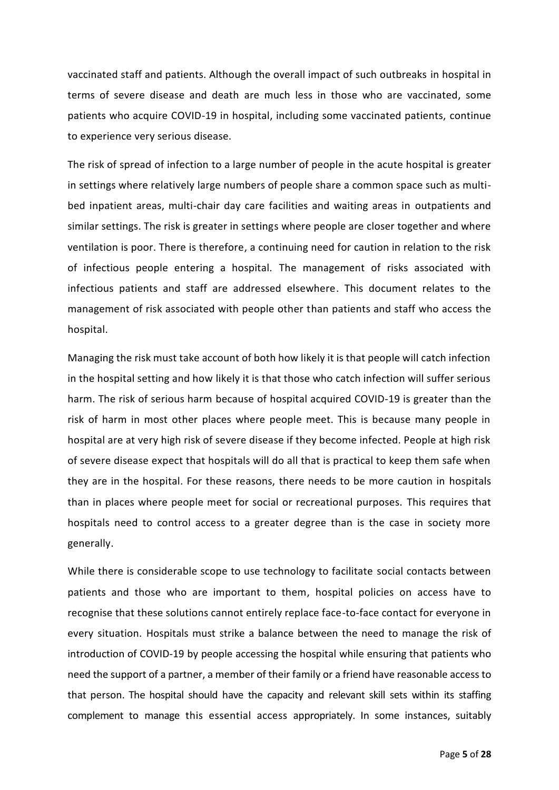vaccinated staff and patients. Although the overall impact of such outbreaks in hospital in terms of severe disease and death are much less in those who are vaccinated, some patients who acquire COVID-19 in hospital, including some vaccinated patients, continue to experience very serious disease.

The risk of spread of infection to a large number of people in the acute hospital is greater in settings where relatively large numbers of people share a common space such as multibed inpatient areas, multi-chair day care facilities and waiting areas in outpatients and similar settings. The risk is greater in settings where people are closer together and where ventilation is poor. There is therefore, a continuing need for caution in relation to the risk of infectious people entering a hospital. The management of risks associated with infectious patients and staff are addressed elsewhere. This document relates to the management of risk associated with people other than patients and staff who access the hospital.

Managing the risk must take account of both how likely it is that people will catch infection in the hospital setting and how likely it is that those who catch infection will suffer serious harm. The risk of serious harm because of hospital acquired COVID-19 is greater than the risk of harm in most other places where people meet. This is because many people in hospital are at very high risk of severe disease if they become infected. People at high risk of severe disease expect that hospitals will do all that is practical to keep them safe when they are in the hospital. For these reasons, there needs to be more caution in hospitals than in places where people meet for social or recreational purposes. This requires that hospitals need to control access to a greater degree than is the case in society more generally.

While there is considerable scope to use technology to facilitate social contacts between patients and those who are important to them, hospital policies on access have to recognise that these solutions cannot entirely replace face-to-face contact for everyone in every situation. Hospitals must strike a balance between the need to manage the risk of introduction of COVID-19 by people accessing the hospital while ensuring that patients who need the support of a partner, a member of their family or a friend have reasonable access to that person. The hospital should have the capacity and relevant skill sets within its staffing complement to manage this essential access appropriately. In some instances, suitably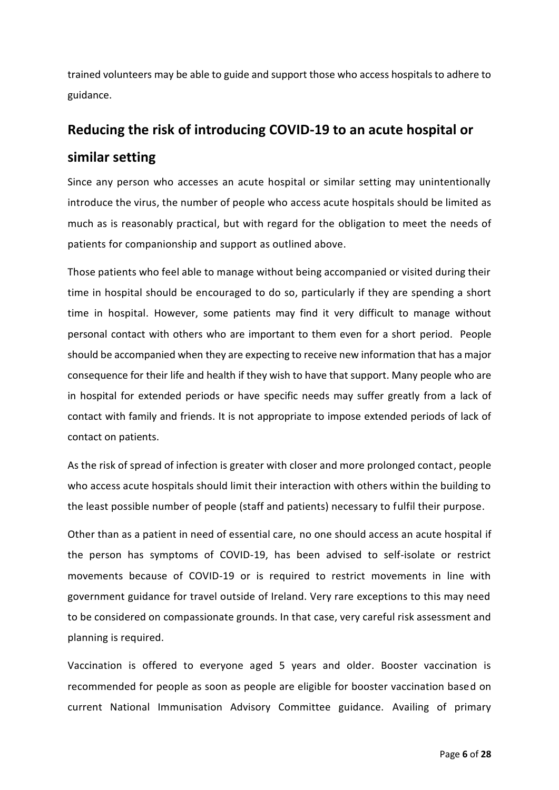trained volunteers may be able to guide and support those who access hospitals to adhere to guidance.

# <span id="page-5-0"></span>**Reducing the risk of introducing COVID-19 to an acute hospital or similar setting**

Since any person who accesses an acute hospital or similar setting may unintentionally introduce the virus, the number of people who access acute hospitals should be limited as much as is reasonably practical, but with regard for the obligation to meet the needs of patients for companionship and support as outlined above.

Those patients who feel able to manage without being accompanied or visited during their time in hospital should be encouraged to do so, particularly if they are spending a short time in hospital. However, some patients may find it very difficult to manage without personal contact with others who are important to them even for a short period. People should be accompanied when they are expecting to receive new information that has a major consequence for their life and health if they wish to have that support. Many people who are in hospital for extended periods or have specific needs may suffer greatly from a lack of contact with family and friends. It is not appropriate to impose extended periods of lack of contact on patients.

As the risk of spread of infection is greater with closer and more prolonged contact, people who access acute hospitals should limit their interaction with others within the building to the least possible number of people (staff and patients) necessary to fulfil their purpose.

Other than as a patient in need of essential care, no one should access an acute hospital if the person has symptoms of COVID-19, has been advised to self-isolate or restrict movements because of COVID-19 or is required to restrict movements in line with government guidance for travel outside of Ireland. Very rare exceptions to this may need to be considered on compassionate grounds. In that case, very careful risk assessment and planning is required.

Vaccination is offered to everyone aged 5 years and older. Booster vaccination is recommended for people as soon as people are eligible for booster vaccination based on current National Immunisation Advisory Committee guidance. Availing of primary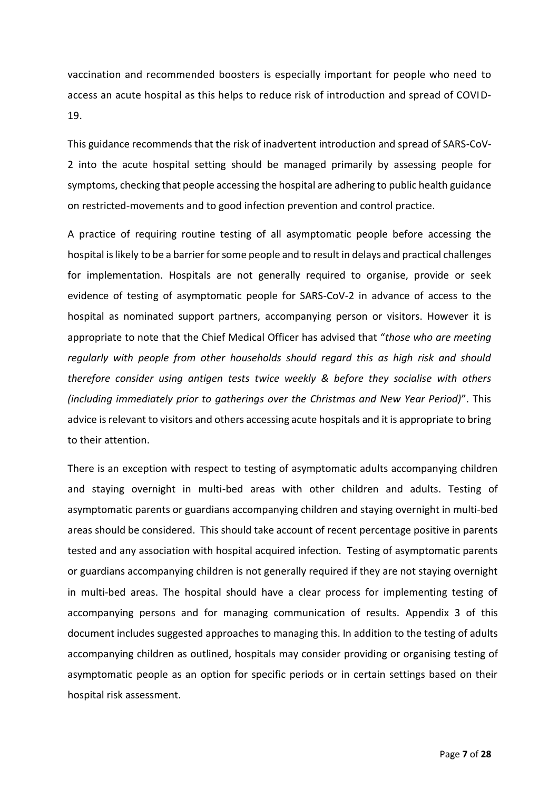vaccination and recommended boosters is especially important for people who need to access an acute hospital as this helps to reduce risk of introduction and spread of COVID-19.

This guidance recommends that the risk of inadvertent introduction and spread of SARS-CoV-2 into the acute hospital setting should be managed primarily by assessing people for symptoms, checking that people accessing the hospital are adhering to public health guidance on restricted-movements and to good infection prevention and control practice.

A practice of requiring routine testing of all asymptomatic people before accessing the hospital is likely to be a barrier for some people and to result in delays and practical challenges for implementation. Hospitals are not generally required to organise, provide or seek evidence of testing of asymptomatic people for SARS-CoV-2 in advance of access to the hospital as nominated support partners, accompanying person or visitors. However it is appropriate to note that the Chief Medical Officer has advised that "*those who are meeting regularly with people from other households should regard this as high risk and should therefore consider using antigen tests twice weekly & before they socialise with others (including immediately prior to gatherings over the Christmas and New Year Period)*". This advice is relevant to visitors and others accessing acute hospitals and it is appropriate to bring to their attention.

There is an exception with respect to testing of asymptomatic adults accompanying children and staying overnight in multi-bed areas with other children and adults. Testing of asymptomatic parents or guardians accompanying children and staying overnight in multi-bed areas should be considered. This should take account of recent percentage positive in parents tested and any association with hospital acquired infection. Testing of asymptomatic parents or guardians accompanying children is not generally required if they are not staying overnight in multi-bed areas. The hospital should have a clear process for implementing testing of accompanying persons and for managing communication of results. Appendix 3 of this document includes suggested approaches to managing this. In addition to the testing of adults accompanying children as outlined, hospitals may consider providing or organising testing of asymptomatic people as an option for specific periods or in certain settings based on their hospital risk assessment.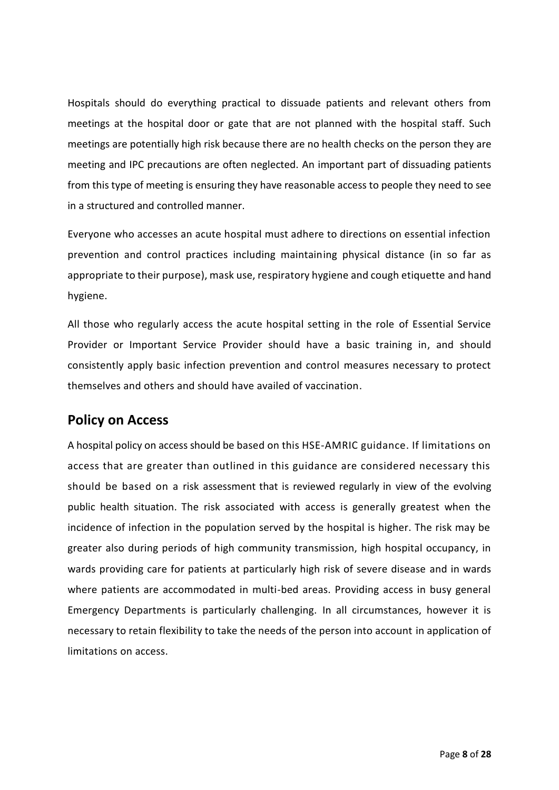Hospitals should do everything practical to dissuade patients and relevant others from meetings at the hospital door or gate that are not planned with the hospital staff. Such meetings are potentially high risk because there are no health checks on the person they are meeting and IPC precautions are often neglected. An important part of dissuading patients from this type of meeting is ensuring they have reasonable access to people they need to see in a structured and controlled manner.

Everyone who accesses an acute hospital must adhere to directions on essential infection prevention and control practices including maintaining physical distance (in so far as appropriate to their purpose), mask use, respiratory hygiene and cough etiquette and hand hygiene.

All those who regularly access the acute hospital setting in the role of Essential Service Provider or Important Service Provider should have a basic training in, and should consistently apply basic infection prevention and control measures necessary to protect themselves and others and should have availed of vaccination.

# <span id="page-7-0"></span>**Policy on Access**

A hospital policy on access should be based on this HSE-AMRIC guidance. If limitations on access that are greater than outlined in this guidance are considered necessary this should be based on a risk assessment that is reviewed regularly in view of the evolving public health situation. The risk associated with access is generally greatest when the incidence of infection in the population served by the hospital is higher. The risk may be greater also during periods of high community transmission, high hospital occupancy, in wards providing care for patients at particularly high risk of severe disease and in wards where patients are accommodated in multi-bed areas. Providing access in busy general Emergency Departments is particularly challenging. In all circumstances, however it is necessary to retain flexibility to take the needs of the person into account in application of limitations on access.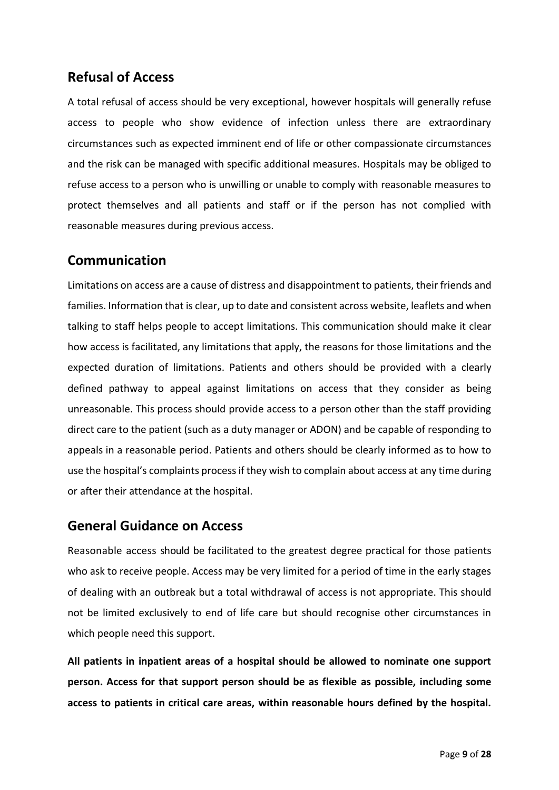## <span id="page-8-0"></span>**Refusal of Access**

A total refusal of access should be very exceptional, however hospitals will generally refuse access to people who show evidence of infection unless there are extraordinary circumstances such as expected imminent end of life or other compassionate circumstances and the risk can be managed with specific additional measures. Hospitals may be obliged to refuse access to a person who is unwilling or unable to comply with reasonable measures to protect themselves and all patients and staff or if the person has not complied with reasonable measures during previous access.

## <span id="page-8-1"></span>**Communication**

Limitations on access are a cause of distress and disappointment to patients, their friends and families. Information that is clear, up to date and consistent across website, leaflets and when talking to staff helps people to accept limitations. This communication should make it clear how access is facilitated, any limitations that apply, the reasons for those limitations and the expected duration of limitations. Patients and others should be provided with a clearly defined pathway to appeal against limitations on access that they consider as being unreasonable. This process should provide access to a person other than the staff providing direct care to the patient (such as a duty manager or ADON) and be capable of responding to appeals in a reasonable period. Patients and others should be clearly informed as to how to use the hospital's complaints process if they wish to complain about access at any time during or after their attendance at the hospital.

### <span id="page-8-2"></span>**General Guidance on Access**

Reasonable access should be facilitated to the greatest degree practical for those patients who ask to receive people. Access may be very limited for a period of time in the early stages of dealing with an outbreak but a total withdrawal of access is not appropriate. This should not be limited exclusively to end of life care but should recognise other circumstances in which people need this support.

**All patients in inpatient areas of a hospital should be allowed to nominate one support person. Access for that support person should be as flexible as possible, including some access to patients in critical care areas, within reasonable hours defined by the hospital.**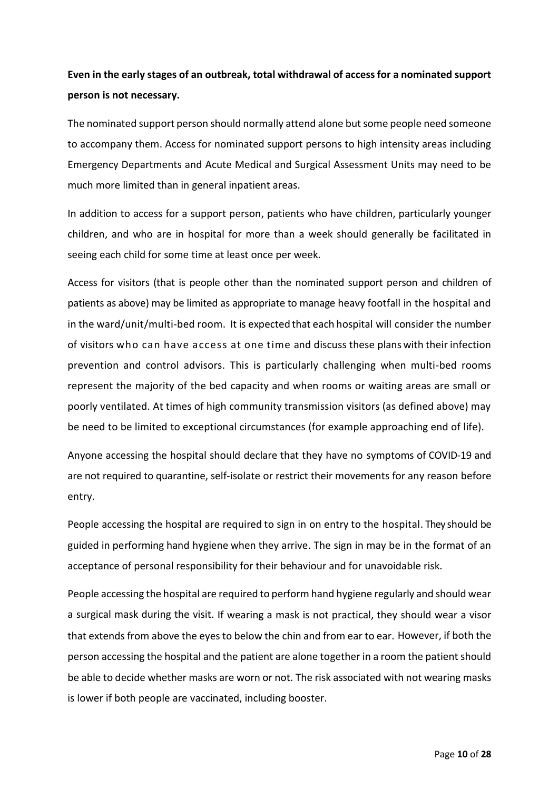# **Even in the early stages of an outbreak, total withdrawal of access for a nominated support person is not necessary.**

The nominated support person should normally attend alone but some people need someone to accompany them. Access for nominated support persons to high intensity areas including Emergency Departments and Acute Medical and Surgical Assessment Units may need to be much more limited than in general inpatient areas.

In addition to access for a support person, patients who have children, particularly younger children, and who are in hospital for more than a week should generally be facilitated in seeing each child for some time at least once per week.

Access for visitors (that is people other than the nominated support person and children of patients as above) may be limited as appropriate to manage heavy footfall in the hospital and in the ward/unit/multi-bed room. It is expected that each hospital will consider the number of visitors who can have access at one time and discuss these plans with their infection prevention and control advisors. This is particularly challenging when multi-bed rooms represent the majority of the bed capacity and when rooms or waiting areas are small or poorly ventilated. At times of high community transmission visitors (as defined above) may be need to be limited to exceptional circumstances (for example approaching end of life).

Anyone accessing the hospital should declare that they have no symptoms of COVID-19 and are not required to quarantine, self-isolate or restrict their movements for any reason before entry.

People accessing the hospital are required to sign in on entry to the hospital. They should be guided in performing hand hygiene when they arrive. The sign in may be in the format of an acceptance of personal responsibility for their behaviour and for unavoidable risk.

People accessing the hospital are required to perform hand hygiene regularly and should wear a surgical mask during the visit. If wearing a mask is not practical, they should wear a visor that extends from above the eyes to below the chin and from ear to ear. However, if both the person accessing the hospital and the patient are alone together in a room the patient should be able to decide whether masks are worn or not. The risk associated with not wearing masks is lower if both people are vaccinated, including booster.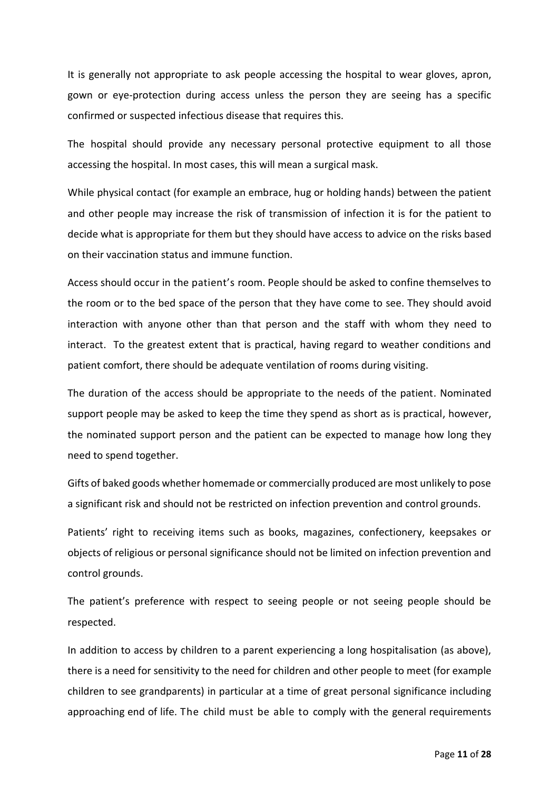It is generally not appropriate to ask people accessing the hospital to wear gloves, apron, gown or eye-protection during access unless the person they are seeing has a specific confirmed or suspected infectious disease that requires this.

The hospital should provide any necessary personal protective equipment to all those accessing the hospital. In most cases, this will mean a surgical mask.

While physical contact (for example an embrace, hug or holding hands) between the patient and other people may increase the risk of transmission of infection it is for the patient to decide what is appropriate for them but they should have access to advice on the risks based on their vaccination status and immune function.

Access should occur in the patient's room. People should be asked to confine themselves to the room or to the bed space of the person that they have come to see. They should avoid interaction with anyone other than that person and the staff with whom they need to interact. To the greatest extent that is practical, having regard to weather conditions and patient comfort, there should be adequate ventilation of rooms during visiting.

The duration of the access should be appropriate to the needs of the patient. Nominated support people may be asked to keep the time they spend as short as is practical, however, the nominated support person and the patient can be expected to manage how long they need to spend together.

Gifts of baked goods whether homemade or commercially produced are most unlikely to pose a significant risk and should not be restricted on infection prevention and control grounds.

Patients' right to receiving items such as books, magazines, confectionery, keepsakes or objects of religious or personal significance should not be limited on infection prevention and control grounds.

The patient's preference with respect to seeing people or not seeing people should be respected.

In addition to access by children to a parent experiencing a long hospitalisation (as above), there is a need for sensitivity to the need for children and other people to meet (for example children to see grandparents) in particular at a time of great personal significance including approaching end of life. The child must be able to comply with the general requirements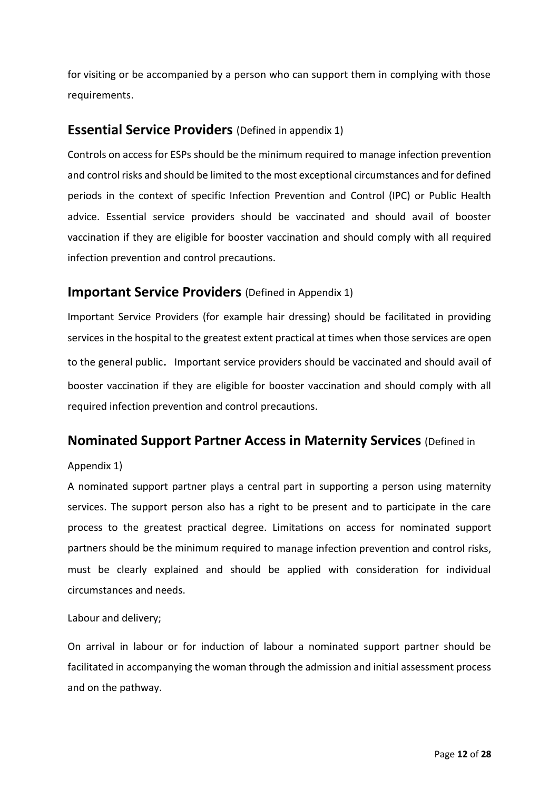for visiting or be accompanied by a person who can support them in complying with those requirements.

### <span id="page-11-0"></span>**Essential Service Providers** (Defined in appendix 1)

Controls on access for ESPs should be the minimum required to manage infection prevention and control risks and should be limited to the most exceptional circumstances and for defined periods in the context of specific Infection Prevention and Control (IPC) or Public Health advice. Essential service providers should be vaccinated and should avail of booster vaccination if they are eligible for booster vaccination and should comply with all required infection prevention and control precautions.

### <span id="page-11-1"></span>**Important Service Providers** (Defined in Appendix 1)

Important Service Providers (for example hair dressing) should be facilitated in providing services in the hospital to the greatest extent practical at times when those services are open to the general public. Important service providers should be vaccinated and should avail of booster vaccination if they are eligible for booster vaccination and should comply with all required infection prevention and control precautions.

### <span id="page-11-2"></span>**Nominated Support Partner Access in Maternity Services** (Defined in

### Appendix 1)

A nominated support partner plays a central part in supporting a person using maternity services. The support person also has a right to be present and to participate in the care process to the greatest practical degree. Limitations on access for nominated support partners should be the minimum required to manage infection prevention and control risks, must be clearly explained and should be applied with consideration for individual circumstances and needs.

### Labour and delivery;

On arrival in labour or for induction of labour a nominated support partner should be facilitated in accompanying the woman through the admission and initial assessment process and on the pathway.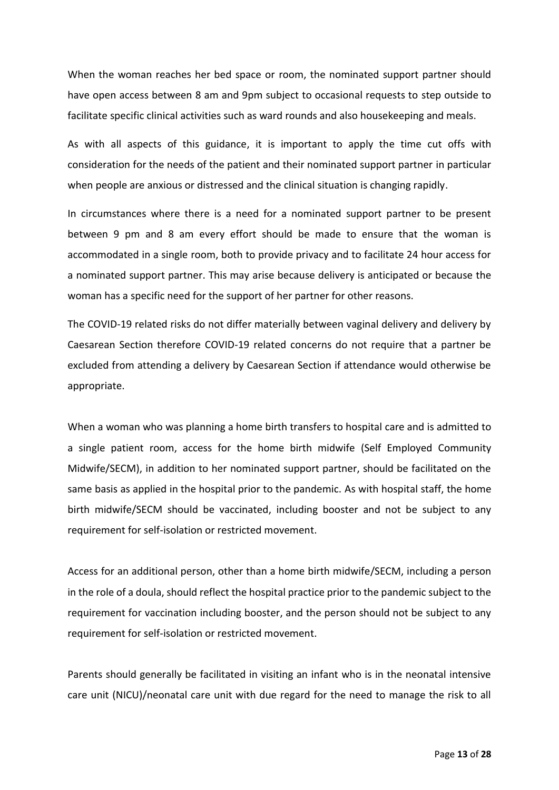When the woman reaches her bed space or room, the nominated support partner should have open access between 8 am and 9pm subject to occasional requests to step outside to facilitate specific clinical activities such as ward rounds and also housekeeping and meals.

As with all aspects of this guidance, it is important to apply the time cut offs with consideration for the needs of the patient and their nominated support partner in particular when people are anxious or distressed and the clinical situation is changing rapidly.

In circumstances where there is a need for a nominated support partner to be present between 9 pm and 8 am every effort should be made to ensure that the woman is accommodated in a single room, both to provide privacy and to facilitate 24 hour access for a nominated support partner. This may arise because delivery is anticipated or because the woman has a specific need for the support of her partner for other reasons.

The COVID-19 related risks do not differ materially between vaginal delivery and delivery by Caesarean Section therefore COVID-19 related concerns do not require that a partner be excluded from attending a delivery by Caesarean Section if attendance would otherwise be appropriate.

When a woman who was planning a home birth transfers to hospital care and is admitted to a single patient room, access for the home birth midwife (Self Employed Community Midwife/SECM), in addition to her nominated support partner, should be facilitated on the same basis as applied in the hospital prior to the pandemic. As with hospital staff, the home birth midwife/SECM should be vaccinated, including booster and not be subject to any requirement for self-isolation or restricted movement.

Access for an additional person, other than a home birth midwife/SECM, including a person in the role of a doula, should reflect the hospital practice prior to the pandemic subject to the requirement for vaccination including booster, and the person should not be subject to any requirement for self-isolation or restricted movement.

Parents should generally be facilitated in visiting an infant who is in the neonatal intensive care unit (NICU)/neonatal care unit with due regard for the need to manage the risk to all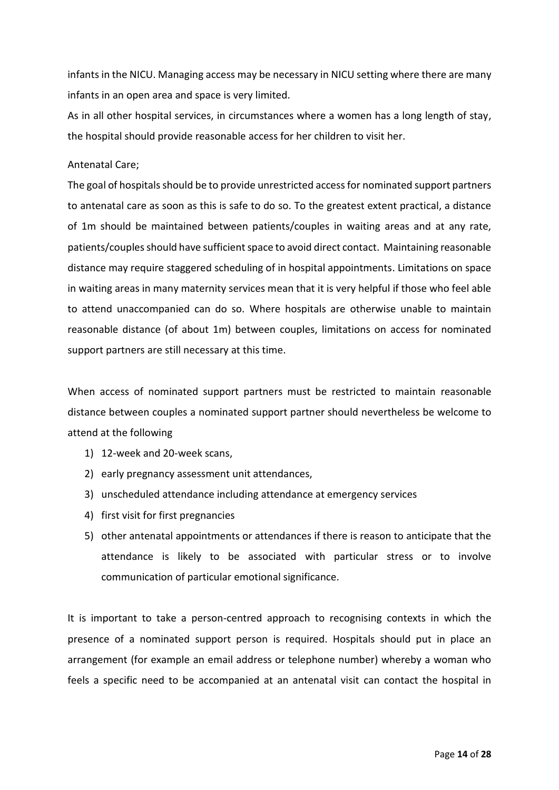infants in the NICU. Managing access may be necessary in NICU setting where there are many infants in an open area and space is very limited.

As in all other hospital services, in circumstances where a women has a long length of stay, the hospital should provide reasonable access for her children to visit her.

#### Antenatal Care;

The goal of hospitals should be to provide unrestricted access for nominated support partners to antenatal care as soon as this is safe to do so. To the greatest extent practical, a distance of 1m should be maintained between patients/couples in waiting areas and at any rate, patients/couplesshould have sufficient space to avoid direct contact. Maintaining reasonable distance may require staggered scheduling of in hospital appointments. Limitations on space in waiting areas in many maternity services mean that it is very helpful if those who feel able to attend unaccompanied can do so. Where hospitals are otherwise unable to maintain reasonable distance (of about 1m) between couples, limitations on access for nominated support partners are still necessary at this time.

When access of nominated support partners must be restricted to maintain reasonable distance between couples a nominated support partner should nevertheless be welcome to attend at the following

- 1) 12-week and 20-week scans,
- 2) early pregnancy assessment unit attendances,
- 3) unscheduled attendance including attendance at emergency services
- 4) first visit for first pregnancies
- 5) other antenatal appointments or attendances if there is reason to anticipate that the attendance is likely to be associated with particular stress or to involve communication of particular emotional significance.

It is important to take a person-centred approach to recognising contexts in which the presence of a nominated support person is required. Hospitals should put in place an arrangement (for example an email address or telephone number) whereby a woman who feels a specific need to be accompanied at an antenatal visit can contact the hospital in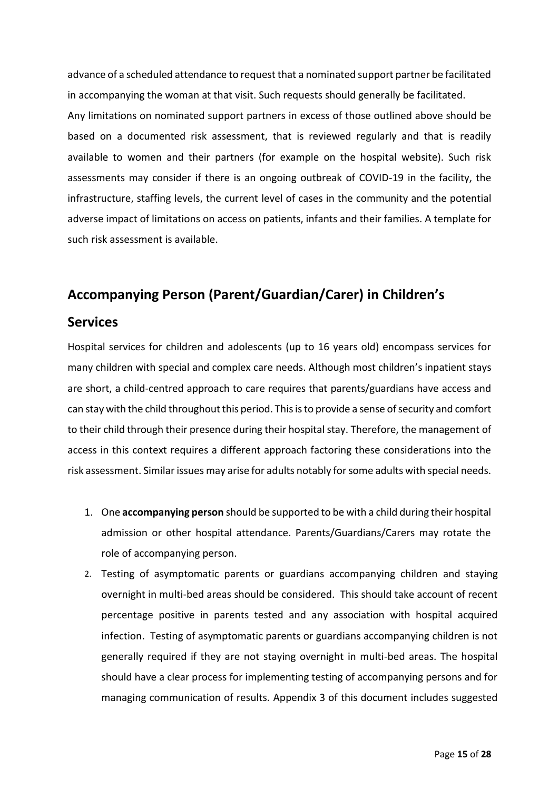advance of a scheduled attendance to request that a nominated support partner be facilitated in accompanying the woman at that visit. Such requests should generally be facilitated. Any limitations on nominated support partners in excess of those outlined above should be based on a documented risk assessment, that is reviewed regularly and that is readily available to women and their partners (for example on the hospital website). Such risk assessments may consider if there is an ongoing outbreak of COVID-19 in the facility, the infrastructure, staffing levels, the current level of cases in the community and the potential adverse impact of limitations on access on patients, infants and their families. A template for such risk assessment is available.

# <span id="page-14-0"></span>**Accompanying Person (Parent/Guardian/Carer) in Children's**

## **Services**

Hospital services for children and adolescents (up to 16 years old) encompass services for many children with special and complex care needs. Although most children's inpatient stays are short, a child-centred approach to care requires that parents/guardians have access and can stay with the child throughout this period. This is to provide a sense of security and comfort to their child through their presence during their hospital stay. Therefore, the management of access in this context requires a different approach factoring these considerations into the risk assessment. Similar issues may arise for adults notably for some adults with special needs.

- 1. One **accompanying person** should be supported to be with a child during their hospital admission or other hospital attendance. Parents/Guardians/Carers may rotate the role of accompanying person.
- 2. Testing of asymptomatic parents or guardians accompanying children and staying overnight in multi-bed areas should be considered. This should take account of recent percentage positive in parents tested and any association with hospital acquired infection. Testing of asymptomatic parents or guardians accompanying children is not generally required if they are not staying overnight in multi-bed areas. The hospital should have a clear process for implementing testing of accompanying persons and for managing communication of results. Appendix 3 of this document includes suggested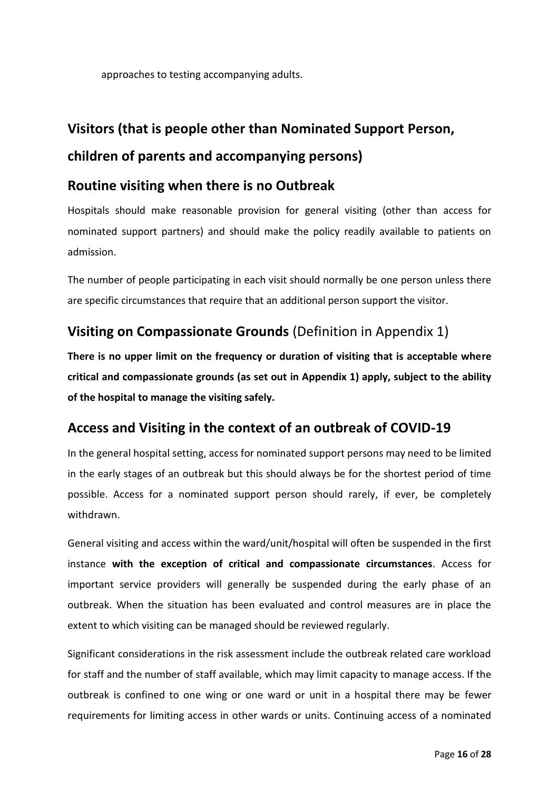approaches to testing accompanying adults.

# <span id="page-15-0"></span>**Visitors (that is people other than Nominated Support Person, children of parents and accompanying persons)**

# <span id="page-15-1"></span>**Routine visiting when there is no Outbreak**

Hospitals should make reasonable provision for general visiting (other than access for nominated support partners) and should make the policy readily available to patients on admission.

The number of people participating in each visit should normally be one person unless there are specific circumstances that require that an additional person support the visitor.

# <span id="page-15-2"></span>**Visiting on Compassionate Grounds** (Definition in Appendix 1)

**There is no upper limit on the frequency or duration of visiting that is acceptable where critical and compassionate grounds (as set out in Appendix 1) apply, subject to the ability of the hospital to manage the visiting safely.** 

# <span id="page-15-3"></span>**Access and Visiting in the context of an outbreak of COVID-19**

In the general hospital setting, access for nominated support persons may need to be limited in the early stages of an outbreak but this should always be for the shortest period of time possible. Access for a nominated support person should rarely, if ever, be completely withdrawn.

General visiting and access within the ward/unit/hospital will often be suspended in the first instance **with the exception of critical and compassionate circumstances**. Access for important service providers will generally be suspended during the early phase of an outbreak. When the situation has been evaluated and control measures are in place the extent to which visiting can be managed should be reviewed regularly.

Significant considerations in the risk assessment include the outbreak related care workload for staff and the number of staff available, which may limit capacity to manage access. If the outbreak is confined to one wing or one ward or unit in a hospital there may be fewer requirements for limiting access in other wards or units. Continuing access of a nominated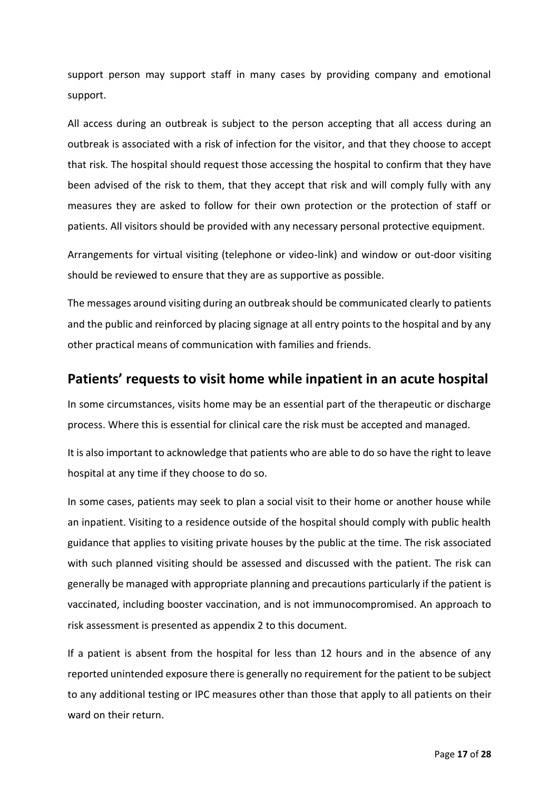support person may support staff in many cases by providing company and emotional support.

All access during an outbreak is subject to the person accepting that all access during an outbreak is associated with a risk of infection for the visitor, and that they choose to accept that risk. The hospital should request those accessing the hospital to confirm that they have been advised of the risk to them, that they accept that risk and will comply fully with any measures they are asked to follow for their own protection or the protection of staff or patients. All visitors should be provided with any necessary personal protective equipment.

Arrangements for virtual visiting (telephone or video-link) and window or out-door visiting should be reviewed to ensure that they are as supportive as possible.

The messages around visiting during an outbreak should be communicated clearly to patients and the public and reinforced by placing signage at all entry points to the hospital and by any other practical means of communication with families and friends.

### <span id="page-16-0"></span>**Patients' requests to visit home while inpatient in an acute hospital**

In some circumstances, visits home may be an essential part of the therapeutic or discharge process. Where this is essential for clinical care the risk must be accepted and managed.

It is also important to acknowledge that patients who are able to do so have the right to leave hospital at any time if they choose to do so.

In some cases, patients may seek to plan a social visit to their home or another house while an inpatient. Visiting to a residence outside of the hospital should comply with public health guidance that applies to visiting private houses by the public at the time. The risk associated with such planned visiting should be assessed and discussed with the patient. The risk can generally be managed with appropriate planning and precautions particularly if the patient is vaccinated, including booster vaccination, and is not immunocompromised. An approach to risk assessment is presented as appendix 2 to this document.

If a patient is absent from the hospital for less than 12 hours and in the absence of any reported unintended exposure there is generally no requirement for the patient to be subject to any additional testing or IPC measures other than those that apply to all patients on their ward on their return.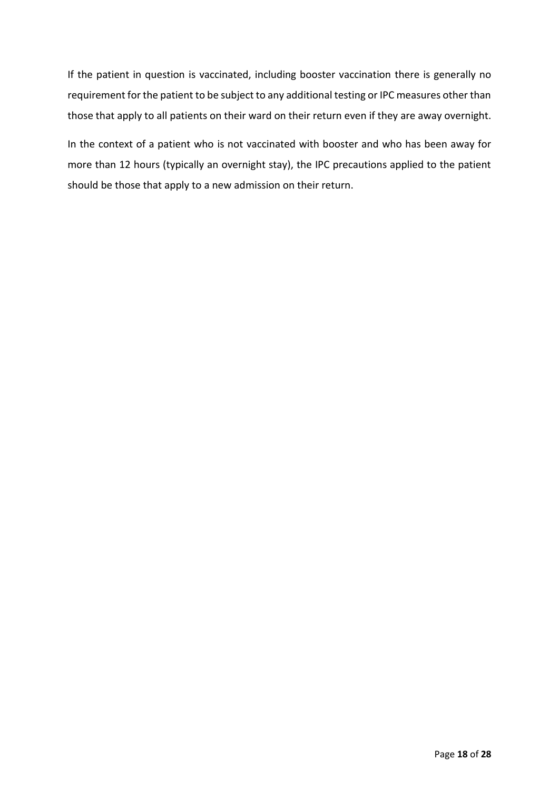If the patient in question is vaccinated, including booster vaccination there is generally no requirement for the patient to be subject to any additional testing or IPC measures other than those that apply to all patients on their ward on their return even if they are away overnight.

In the context of a patient who is not vaccinated with booster and who has been away for more than 12 hours (typically an overnight stay), the IPC precautions applied to the patient should be those that apply to a new admission on their return.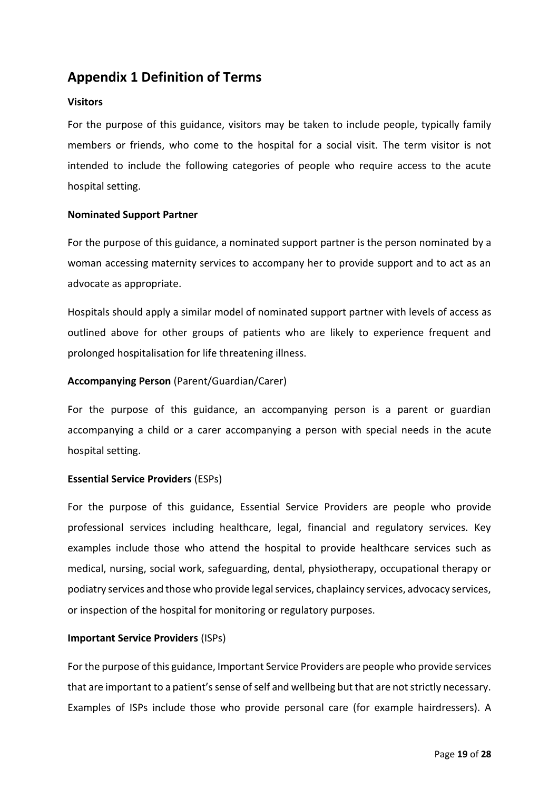# <span id="page-18-0"></span>**Appendix 1 Definition of Terms**

### **Visitors**

For the purpose of this guidance, visitors may be taken to include people, typically family members or friends, who come to the hospital for a social visit. The term visitor is not intended to include the following categories of people who require access to the acute hospital setting.

### **Nominated Support Partner**

For the purpose of this guidance, a nominated support partner is the person nominated by a woman accessing maternity services to accompany her to provide support and to act as an advocate as appropriate.

Hospitals should apply a similar model of nominated support partner with levels of access as outlined above for other groups of patients who are likely to experience frequent and prolonged hospitalisation for life threatening illness.

### **Accompanying Person** (Parent/Guardian/Carer)

For the purpose of this guidance, an accompanying person is a parent or guardian accompanying a child or a carer accompanying a person with special needs in the acute hospital setting.

### **Essential Service Providers** (ESPs)

For the purpose of this guidance, Essential Service Providers are people who provide professional services including healthcare, legal, financial and regulatory services. Key examples include those who attend the hospital to provide healthcare services such as medical, nursing, social work, safeguarding, dental, physiotherapy, occupational therapy or podiatry services and those who provide legal services, chaplaincy services, advocacy services, or inspection of the hospital for monitoring or regulatory purposes.

#### **Important Service Providers** (ISPs)

For the purpose of this guidance, Important Service Providers are people who provide services that are important to a patient's sense of self and wellbeing but that are not strictly necessary. Examples of ISPs include those who provide personal care (for example hairdressers). A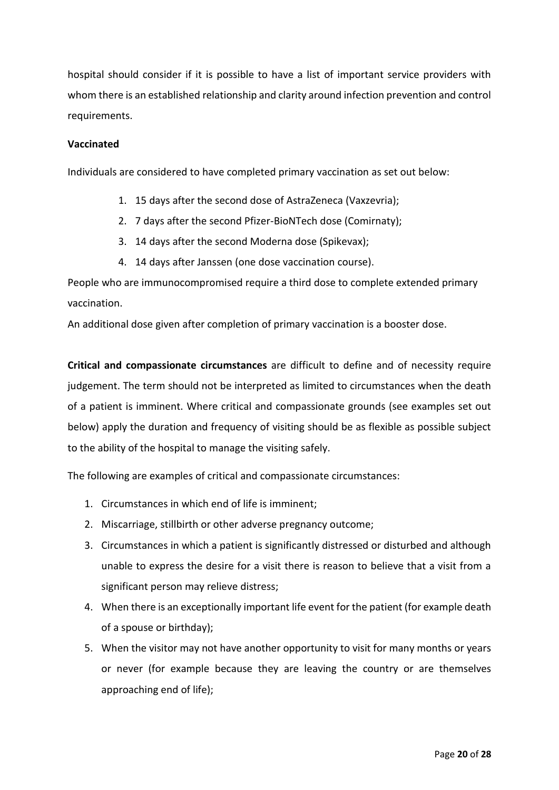hospital should consider if it is possible to have a list of important service providers with whom there is an established relationship and clarity around infection prevention and control requirements.

#### **Vaccinated**

Individuals are considered to have completed primary vaccination as set out below:

- 1. 15 days after the second dose of AstraZeneca (Vaxzevria);
- 2. 7 days after the second Pfizer-BioNTech dose (Comirnaty);
- 3. 14 days after the second Moderna dose (Spikevax);
- 4. 14 days after Janssen (one dose vaccination course).

People who are immunocompromised require a third dose to complete extended primary vaccination.

An additional dose given after completion of primary vaccination is a booster dose.

**Critical and compassionate circumstances** are difficult to define and of necessity require judgement. The term should not be interpreted as limited to circumstances when the death of a patient is imminent. Where critical and compassionate grounds (see examples set out below) apply the duration and frequency of visiting should be as flexible as possible subject to the ability of the hospital to manage the visiting safely.

The following are examples of critical and compassionate circumstances:

- 1. Circumstances in which end of life is imminent;
- 2. Miscarriage, stillbirth or other adverse pregnancy outcome;
- 3. Circumstances in which a patient is significantly distressed or disturbed and although unable to express the desire for a visit there is reason to believe that a visit from a significant person may relieve distress;
- 4. When there is an exceptionally important life event for the patient (for example death of a spouse or birthday);
- 5. When the visitor may not have another opportunity to visit for many months or years or never (for example because they are leaving the country or are themselves approaching end of life);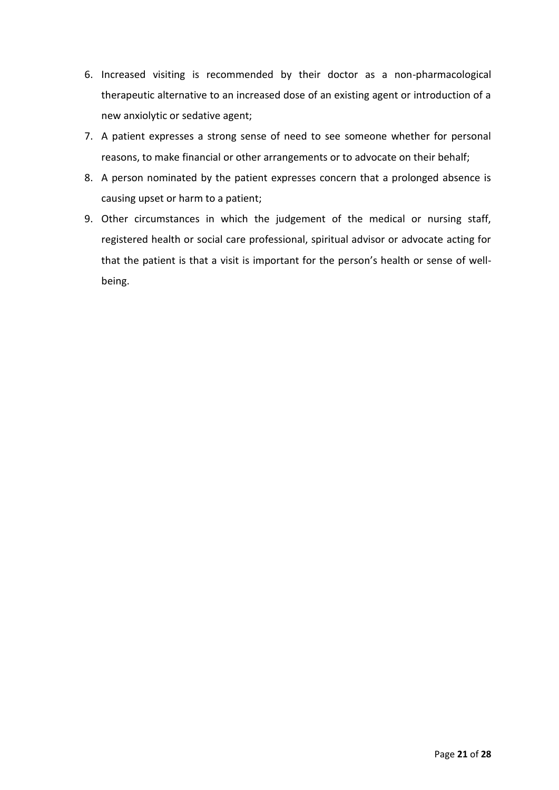- 6. Increased visiting is recommended by their doctor as a non-pharmacological therapeutic alternative to an increased dose of an existing agent or introduction of a new anxiolytic or sedative agent;
- 7. A patient expresses a strong sense of need to see someone whether for personal reasons, to make financial or other arrangements or to advocate on their behalf;
- 8. A person nominated by the patient expresses concern that a prolonged absence is causing upset or harm to a patient;
- 9. Other circumstances in which the judgement of the medical or nursing staff, registered health or social care professional, spiritual advisor or advocate acting for that the patient is that a visit is important for the person's health or sense of wellbeing.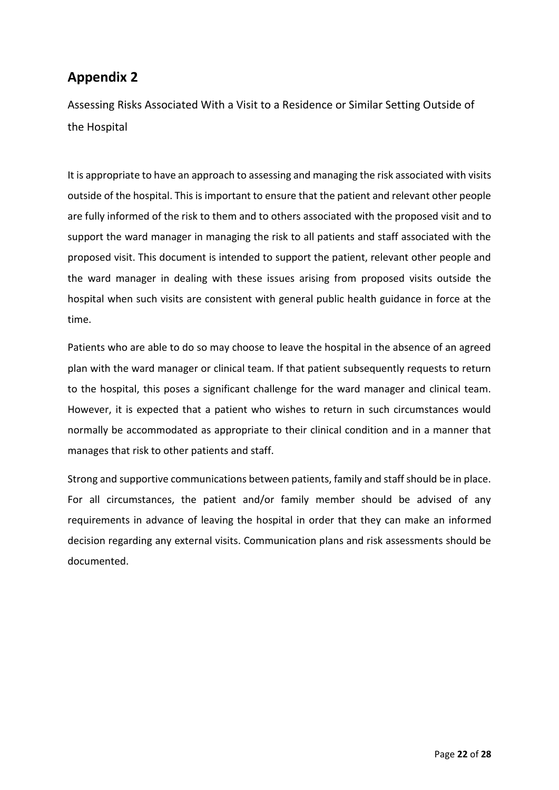# <span id="page-21-0"></span>**Appendix 2**

<span id="page-21-1"></span>Assessing Risks Associated With a Visit to a Residence or Similar Setting Outside of the Hospital

It is appropriate to have an approach to assessing and managing the risk associated with visits outside of the hospital. This is important to ensure that the patient and relevant other people are fully informed of the risk to them and to others associated with the proposed visit and to support the ward manager in managing the risk to all patients and staff associated with the proposed visit. This document is intended to support the patient, relevant other people and the ward manager in dealing with these issues arising from proposed visits outside the hospital when such visits are consistent with general public health guidance in force at the time.

Patients who are able to do so may choose to leave the hospital in the absence of an agreed plan with the ward manager or clinical team. If that patient subsequently requests to return to the hospital, this poses a significant challenge for the ward manager and clinical team. However, it is expected that a patient who wishes to return in such circumstances would normally be accommodated as appropriate to their clinical condition and in a manner that manages that risk to other patients and staff.

Strong and supportive communications between patients, family and staff should be in place. For all circumstances, the patient and/or family member should be advised of any requirements in advance of leaving the hospital in order that they can make an informed decision regarding any external visits. Communication plans and risk assessments should be documented.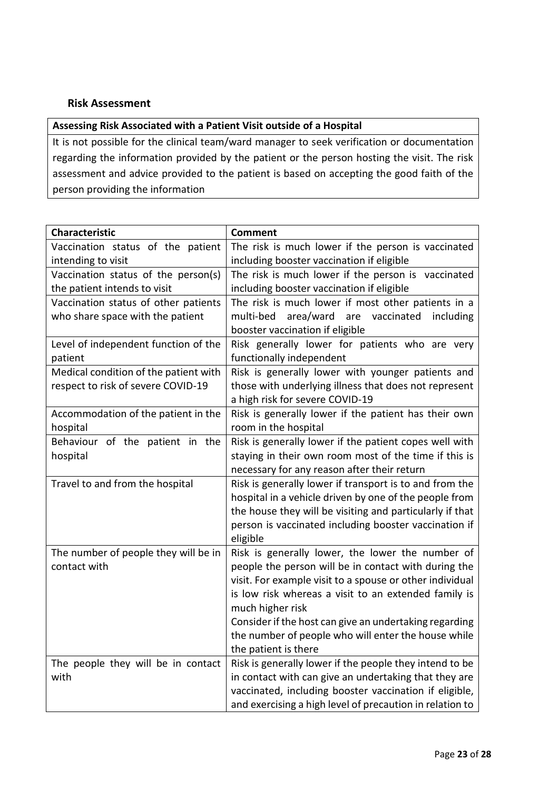### <span id="page-22-0"></span>**Risk Assessment**

### **Assessing Risk Associated with a Patient Visit outside of a Hospital**

It is not possible for the clinical team/ward manager to seek verification or documentation regarding the information provided by the patient or the person hosting the visit. The risk assessment and advice provided to the patient is based on accepting the good faith of the person providing the information

| <b>Characteristic</b>                 | <b>Comment</b>                                           |
|---------------------------------------|----------------------------------------------------------|
| Vaccination status of the patient     | The risk is much lower if the person is vaccinated       |
| intending to visit                    | including booster vaccination if eligible                |
| Vaccination status of the person(s)   | The risk is much lower if the person is vaccinated       |
| the patient intends to visit          | including booster vaccination if eligible                |
| Vaccination status of other patients  | The risk is much lower if most other patients in a       |
| who share space with the patient      | multi-bed<br>area/ward<br>vaccinated<br>are<br>including |
|                                       | booster vaccination if eligible                          |
| Level of independent function of the  | Risk generally lower for patients who are very           |
| patient                               | functionally independent                                 |
| Medical condition of the patient with | Risk is generally lower with younger patients and        |
| respect to risk of severe COVID-19    | those with underlying illness that does not represent    |
|                                       | a high risk for severe COVID-19                          |
| Accommodation of the patient in the   | Risk is generally lower if the patient has their own     |
| hospital                              | room in the hospital                                     |
| Behaviour of the patient in the       | Risk is generally lower if the patient copes well with   |
| hospital                              | staying in their own room most of the time if this is    |
|                                       | necessary for any reason after their return              |
| Travel to and from the hospital       | Risk is generally lower if transport is to and from the  |
|                                       | hospital in a vehicle driven by one of the people from   |
|                                       | the house they will be visiting and particularly if that |
|                                       | person is vaccinated including booster vaccination if    |
|                                       | eligible                                                 |
| The number of people they will be in  | Risk is generally lower, the lower the number of         |
| contact with                          | people the person will be in contact with during the     |
|                                       | visit. For example visit to a spouse or other individual |
|                                       | is low risk whereas a visit to an extended family is     |
|                                       | much higher risk                                         |
|                                       | Consider if the host can give an undertaking regarding   |
|                                       | the number of people who will enter the house while      |
|                                       | the patient is there                                     |
| The people they will be in contact    | Risk is generally lower if the people they intend to be  |
| with                                  | in contact with can give an undertaking that they are    |
|                                       | vaccinated, including booster vaccination if eligible,   |
|                                       | and exercising a high level of precaution in relation to |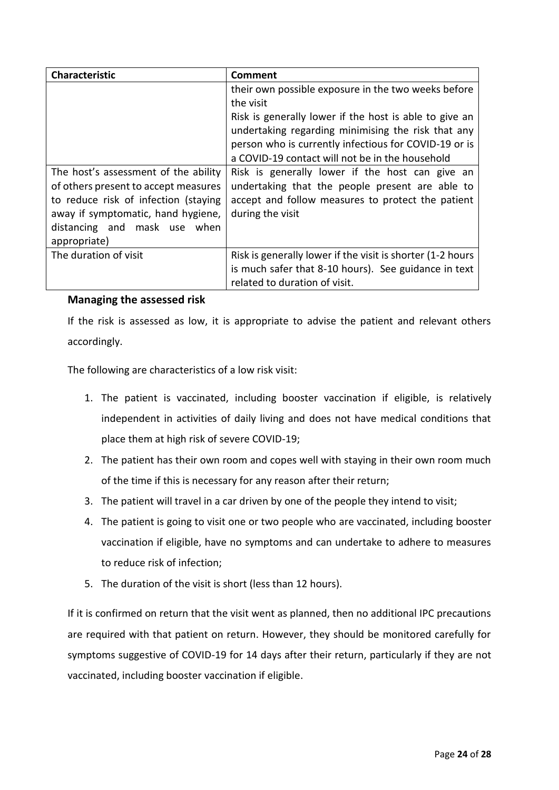| Characteristic                       | <b>Comment</b>                                                                                                                                                                                                           |
|--------------------------------------|--------------------------------------------------------------------------------------------------------------------------------------------------------------------------------------------------------------------------|
|                                      | their own possible exposure in the two weeks before                                                                                                                                                                      |
|                                      | the visit                                                                                                                                                                                                                |
|                                      | Risk is generally lower if the host is able to give an<br>undertaking regarding minimising the risk that any<br>person who is currently infectious for COVID-19 or is<br>a COVID-19 contact will not be in the household |
| The host's assessment of the ability | Risk is generally lower if the host can give an                                                                                                                                                                          |
| of others present to accept measures | undertaking that the people present are able to                                                                                                                                                                          |
| to reduce risk of infection (staying | accept and follow measures to protect the patient                                                                                                                                                                        |
| away if symptomatic, hand hygiene,   | during the visit                                                                                                                                                                                                         |
| distancing and mask use when         |                                                                                                                                                                                                                          |
| appropriate)                         |                                                                                                                                                                                                                          |
| The duration of visit                | Risk is generally lower if the visit is shorter (1-2 hours                                                                                                                                                               |
|                                      | is much safer that 8-10 hours). See guidance in text                                                                                                                                                                     |
|                                      | related to duration of visit.                                                                                                                                                                                            |

### <span id="page-23-0"></span>**Managing the assessed risk**

If the risk is assessed as low, it is appropriate to advise the patient and relevant others accordingly.

The following are characteristics of a low risk visit:

- 1. The patient is vaccinated, including booster vaccination if eligible, is relatively independent in activities of daily living and does not have medical conditions that place them at high risk of severe COVID-19;
- 2. The patient has their own room and copes well with staying in their own room much of the time if this is necessary for any reason after their return;
- 3. The patient will travel in a car driven by one of the people they intend to visit;
- 4. The patient is going to visit one or two people who are vaccinated, including booster vaccination if eligible, have no symptoms and can undertake to adhere to measures to reduce risk of infection;
- 5. The duration of the visit is short (less than 12 hours).

If it is confirmed on return that the visit went as planned, then no additional IPC precautions are required with that patient on return. However, they should be monitored carefully for symptoms suggestive of COVID-19 for 14 days after their return, particularly if they are not vaccinated, including booster vaccination if eligible.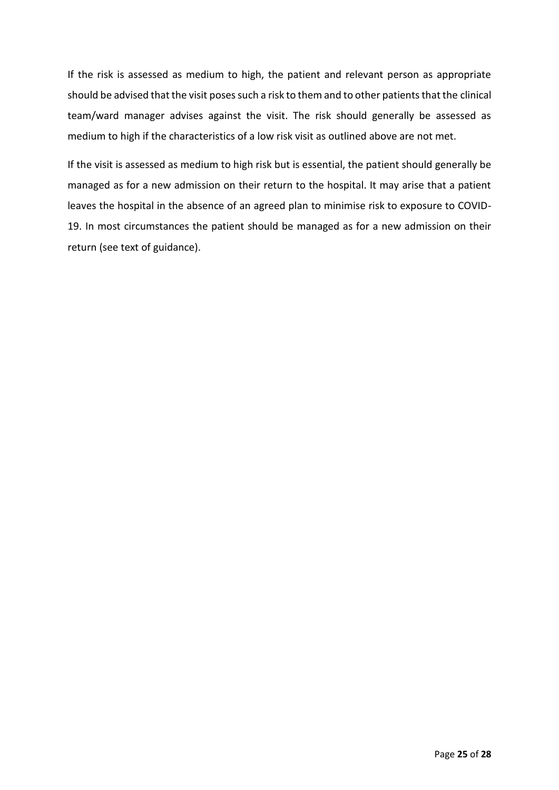If the risk is assessed as medium to high, the patient and relevant person as appropriate should be advised that the visit poses such a risk to them and to other patients that the clinical team/ward manager advises against the visit. The risk should generally be assessed as medium to high if the characteristics of a low risk visit as outlined above are not met.

If the visit is assessed as medium to high risk but is essential, the patient should generally be managed as for a new admission on their return to the hospital. It may arise that a patient leaves the hospital in the absence of an agreed plan to minimise risk to exposure to COVID-19. In most circumstances the patient should be managed as for a new admission on their return (see text of guidance).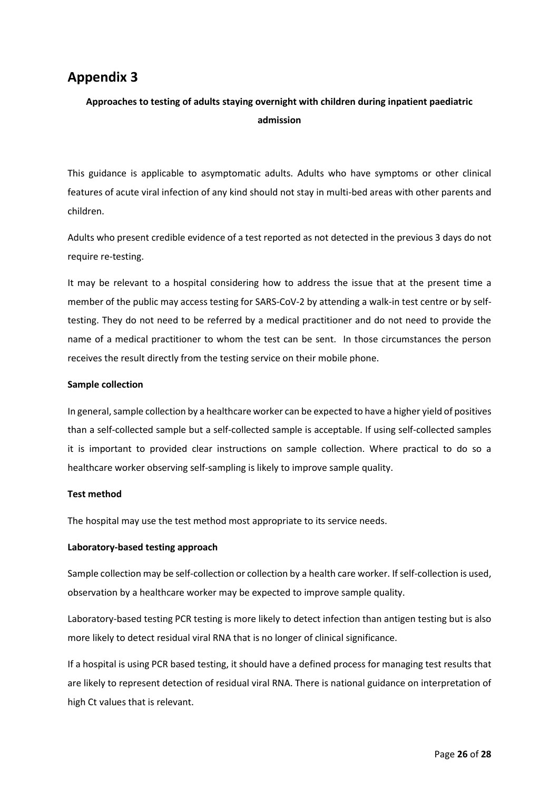# <span id="page-25-0"></span>**Appendix 3**

### **Approaches to testing of adults staying overnight with children during inpatient paediatric admission**

This guidance is applicable to asymptomatic adults. Adults who have symptoms or other clinical features of acute viral infection of any kind should not stay in multi-bed areas with other parents and children.

Adults who present credible evidence of a test reported as not detected in the previous 3 days do not require re-testing.

It may be relevant to a hospital considering how to address the issue that at the present time a member of the public may access testing for SARS-CoV-2 by attending a walk-in test centre or by selftesting. They do not need to be referred by a medical practitioner and do not need to provide the name of a medical practitioner to whom the test can be sent. In those circumstances the person receives the result directly from the testing service on their mobile phone.

#### **Sample collection**

In general, sample collection by a healthcare worker can be expected to have a higher yield of positives than a self-collected sample but a self-collected sample is acceptable. If using self-collected samples it is important to provided clear instructions on sample collection. Where practical to do so a healthcare worker observing self-sampling is likely to improve sample quality.

#### **Test method**

The hospital may use the test method most appropriate to its service needs.

#### **Laboratory-based testing approach**

Sample collection may be self-collection or collection by a health care worker. If self-collection is used, observation by a healthcare worker may be expected to improve sample quality.

Laboratory-based testing PCR testing is more likely to detect infection than antigen testing but is also more likely to detect residual viral RNA that is no longer of clinical significance.

If a hospital is using PCR based testing, it should have a defined process for managing test results that are likely to represent detection of residual viral RNA. There is national guidance on interpretation of high Ct values that is relevant.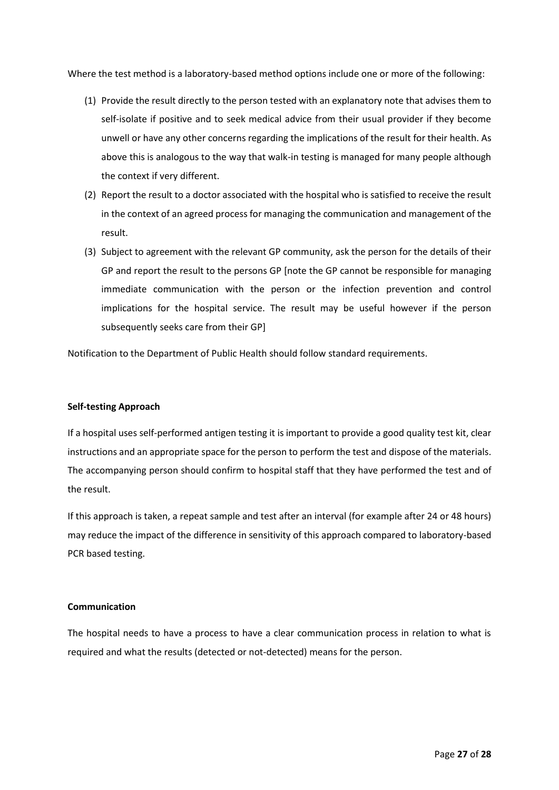Where the test method is a laboratory-based method options include one or more of the following:

- (1) Provide the result directly to the person tested with an explanatory note that advises them to self-isolate if positive and to seek medical advice from their usual provider if they become unwell or have any other concerns regarding the implications of the result for their health. As above this is analogous to the way that walk-in testing is managed for many people although the context if very different.
- (2) Report the result to a doctor associated with the hospital who is satisfied to receive the result in the context of an agreed process for managing the communication and management of the result.
- (3) Subject to agreement with the relevant GP community, ask the person for the details of their GP and report the result to the persons GP [note the GP cannot be responsible for managing immediate communication with the person or the infection prevention and control implications for the hospital service. The result may be useful however if the person subsequently seeks care from their GP]

Notification to the Department of Public Health should follow standard requirements.

#### **Self-testing Approach**

If a hospital uses self-performed antigen testing it is important to provide a good quality test kit, clear instructions and an appropriate space for the person to perform the test and dispose of the materials. The accompanying person should confirm to hospital staff that they have performed the test and of the result.

If this approach is taken, a repeat sample and test after an interval (for example after 24 or 48 hours) may reduce the impact of the difference in sensitivity of this approach compared to laboratory-based PCR based testing.

#### **Communication**

The hospital needs to have a process to have a clear communication process in relation to what is required and what the results (detected or not-detected) means for the person.